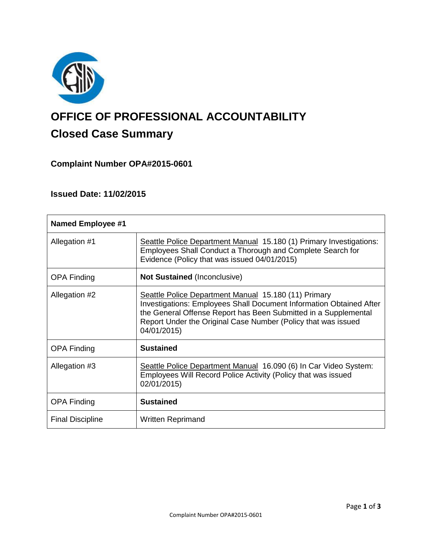

# **OFFICE OF PROFESSIONAL ACCOUNTABILITY Closed Case Summary**

# **Complaint Number OPA#2015-0601**

# **Issued Date: 11/02/2015**

| <b>Named Employee #1</b> |                                                                                                                                                                                                                                                                                       |
|--------------------------|---------------------------------------------------------------------------------------------------------------------------------------------------------------------------------------------------------------------------------------------------------------------------------------|
| Allegation #1            | Seattle Police Department Manual 15.180 (1) Primary Investigations:<br>Employees Shall Conduct a Thorough and Complete Search for<br>Evidence (Policy that was issued 04/01/2015)                                                                                                     |
| <b>OPA Finding</b>       | <b>Not Sustained (Inconclusive)</b>                                                                                                                                                                                                                                                   |
| Allegation #2            | Seattle Police Department Manual 15.180 (11) Primary<br><b>Investigations: Employees Shall Document Information Obtained After</b><br>the General Offense Report has Been Submitted in a Supplemental<br>Report Under the Original Case Number (Policy that was issued<br>04/01/2015) |
| <b>OPA Finding</b>       | <b>Sustained</b>                                                                                                                                                                                                                                                                      |
| Allegation #3            | Seattle Police Department Manual 16.090 (6) In Car Video System:<br>Employees Will Record Police Activity (Policy that was issued<br>02/01/2015)                                                                                                                                      |
| <b>OPA Finding</b>       | <b>Sustained</b>                                                                                                                                                                                                                                                                      |
| <b>Final Discipline</b>  | <b>Written Reprimand</b>                                                                                                                                                                                                                                                              |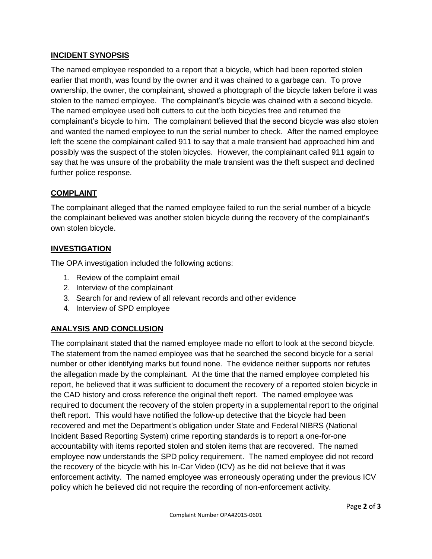## **INCIDENT SYNOPSIS**

The named employee responded to a report that a bicycle, which had been reported stolen earlier that month, was found by the owner and it was chained to a garbage can. To prove ownership, the owner, the complainant, showed a photograph of the bicycle taken before it was stolen to the named employee. The complainant's bicycle was chained with a second bicycle. The named employee used bolt cutters to cut the both bicycles free and returned the complainant's bicycle to him. The complainant believed that the second bicycle was also stolen and wanted the named employee to run the serial number to check. After the named employee left the scene the complainant called 911 to say that a male transient had approached him and possibly was the suspect of the stolen bicycles. However, the complainant called 911 again to say that he was unsure of the probability the male transient was the theft suspect and declined further police response.

## **COMPLAINT**

The complainant alleged that the named employee failed to run the serial number of a bicycle the complainant believed was another stolen bicycle during the recovery of the complainant's own stolen bicycle.

## **INVESTIGATION**

The OPA investigation included the following actions:

- 1. Review of the complaint email
- 2. Interview of the complainant
- 3. Search for and review of all relevant records and other evidence
- 4. Interview of SPD employee

## **ANALYSIS AND CONCLUSION**

The complainant stated that the named employee made no effort to look at the second bicycle. The statement from the named employee was that he searched the second bicycle for a serial number or other identifying marks but found none. The evidence neither supports nor refutes the allegation made by the complainant. At the time that the named employee completed his report, he believed that it was sufficient to document the recovery of a reported stolen bicycle in the CAD history and cross reference the original theft report. The named employee was required to document the recovery of the stolen property in a supplemental report to the original theft report. This would have notified the follow-up detective that the bicycle had been recovered and met the Department's obligation under State and Federal NIBRS (National Incident Based Reporting System) crime reporting standards is to report a one-for-one accountability with items reported stolen and stolen items that are recovered. The named employee now understands the SPD policy requirement. The named employee did not record the recovery of the bicycle with his In-Car Video (ICV) as he did not believe that it was enforcement activity. The named employee was erroneously operating under the previous ICV policy which he believed did not require the recording of non-enforcement activity.